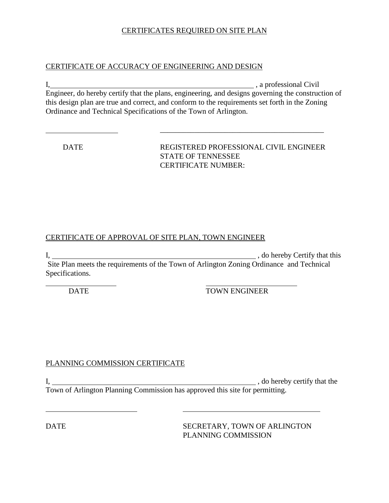## CERTIFICATES REQUIRED ON SITE PLAN

### CERTIFICATE OF ACCURACY OF ENGINEERING AND DESIGN

I, a professional Civil Engineer, do hereby certify that the plans, engineering, and designs governing the construction of this design plan are true and correct, and conform to the requirements set forth in the Zoning Ordinance and Technical Specifications of the Town of Arlington.

 DATE REGISTERED PROFESSIONAL CIVIL ENGINEER STATE OF TENNESSEE CERTIFICATE NUMBER:

## CERTIFICATE OF APPROVAL OF SITE PLAN, TOWN ENGINEER

I, , do hereby Certify that this Site Plan meets the requirements of the Town of Arlington Zoning Ordinance and Technical Specifications.

 $\overline{a}$ 

DATE TOWN ENGINEER

## PLANNING COMMISSION CERTIFICATE

I, , do hereby certify that the Town of Arlington Planning Commission has approved this site for permitting.

DATE SECRETARY, TOWN OF ARLINGTON PLANNING COMMISSION

 $\overline{a}$